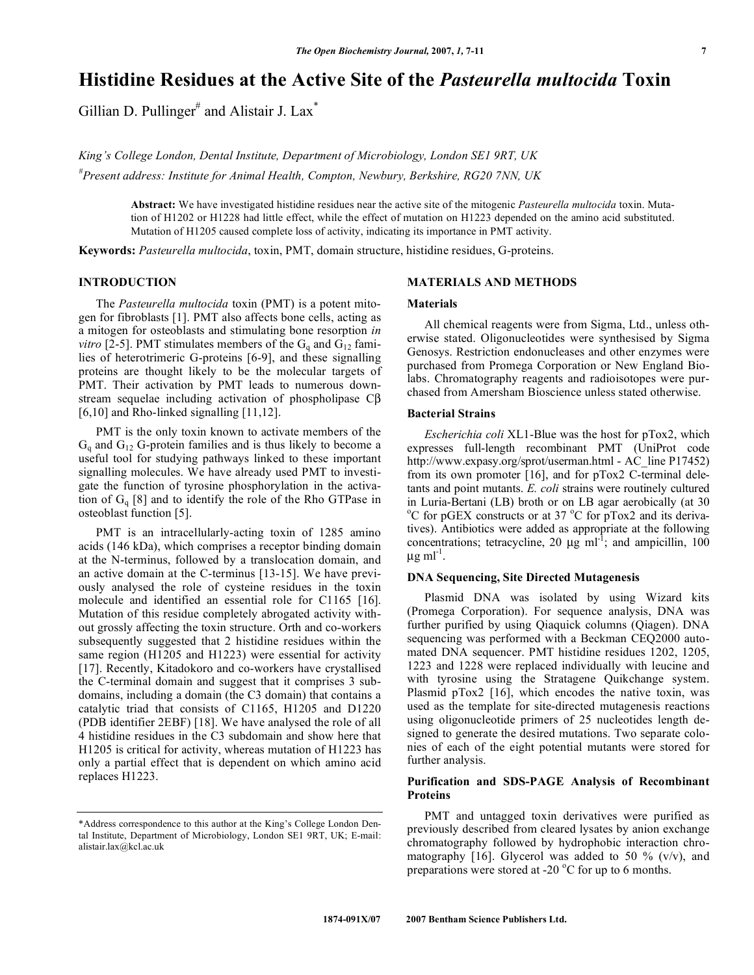# **Histidine Residues at the Active Site of the** *Pasteurella multocida* **Toxin**

Gillian D. Pullinger<sup>#</sup> and Alistair J. Lax<sup>\*</sup>

*King's College London, Dental Institute, Department of Microbiology, London SE1 9RT, UK # Present address: Institute for Animal Health, Compton, Newbury, Berkshire, RG20 7NN, UK* 

> **Abstract:** We have investigated histidine residues near the active site of the mitogenic *Pasteurella multocida* toxin. Mutation of H1202 or H1228 had little effect, while the effect of mutation on H1223 depended on the amino acid substituted. Mutation of H1205 caused complete loss of activity, indicating its importance in PMT activity.

**Keywords:** *Pasteurella multocida*, toxin, PMT, domain structure, histidine residues, G-proteins.

#### **INTRODUCTION**

 The *Pasteurella multocida* toxin (PMT) is a potent mitogen for fibroblasts [1]. PMT also affects bone cells, acting as a mitogen for osteoblasts and stimulating bone resorption *in vitro* [2-5]. PMT stimulates members of the  $G_q$  and  $G_{12}$  families of heterotrimeric G-proteins [6-9], and these signalling proteins are thought likely to be the molecular targets of PMT. Their activation by PMT leads to numerous downstream sequelae including activation of phospholipase  $\mathbb{C}\beta$ [6,10] and Rho-linked signalling [11,12].

 PMT is the only toxin known to activate members of the  $G_q$  and  $G_{12}$  G-protein families and is thus likely to become a useful tool for studying pathways linked to these important signalling molecules. We have already used PMT to investigate the function of tyrosine phosphorylation in the activation of  $G_q$  [8] and to identify the role of the Rho GTPase in osteoblast function [5].

PMT is an intracellularly-acting toxin of 1285 amino acids (146 kDa), which comprises a receptor binding domain at the N-terminus, followed by a translocation domain, and an active domain at the C-terminus [13-15]. We have previously analysed the role of cysteine residues in the toxin molecule and identified an essential role for C1165 [16]. Mutation of this residue completely abrogated activity without grossly affecting the toxin structure. Orth and co-workers subsequently suggested that 2 histidine residues within the same region (H1205 and H1223) were essential for activity [17]. Recently, Kitadokoro and co-workers have crystallised the C-terminal domain and suggest that it comprises 3 subdomains, including a domain (the C3 domain) that contains a catalytic triad that consists of C1165, H1205 and D1220 (PDB identifier 2EBF) [18]. We have analysed the role of all 4 histidine residues in the C3 subdomain and show here that H1205 is critical for activity, whereas mutation of H1223 has only a partial effect that is dependent on which amino acid replaces H1223.

# **MATERIALS AND METHODS**

#### **Materials**

 All chemical reagents were from Sigma, Ltd., unless otherwise stated. Oligonucleotides were synthesised by Sigma Genosys. Restriction endonucleases and other enzymes were purchased from Promega Corporation or New England Biolabs. Chromatography reagents and radioisotopes were purchased from Amersham Bioscience unless stated otherwise.

#### **Bacterial Strains**

 *Escherichia coli* XL1-Blue was the host for pTox2, which expresses full-length recombinant PMT (UniProt code http://www.expasy.org/sprot/userman.html - AC\_line P17452) from its own promoter [16], and for pTox2 C-terminal deletants and point mutants. *E. coli* strains were routinely cultured in Luria-Bertani (LB) broth or on LB agar aerobically (at 30 <sup>o</sup>C for pGEX constructs or at 37 <sup>o</sup>C for pTox2 and its derivatives). Antibiotics were added as appropriate at the following concentrations; tetracycline, 20  $\mu g$  ml<sup>-1</sup>; and ampicillin, 100  $\mu$ g m $l^{-1}$ .

#### **DNA Sequencing, Site Directed Mutagenesis**

 Plasmid DNA was isolated by using Wizard kits (Promega Corporation). For sequence analysis, DNA was further purified by using Qiaquick columns (Qiagen). DNA sequencing was performed with a Beckman CEQ2000 automated DNA sequencer. PMT histidine residues 1202, 1205, 1223 and 1228 were replaced individually with leucine and with tyrosine using the Stratagene Quikchange system. Plasmid pTox2 [16], which encodes the native toxin, was used as the template for site-directed mutagenesis reactions using oligonucleotide primers of 25 nucleotides length designed to generate the desired mutations. Two separate colonies of each of the eight potential mutants were stored for further analysis.

# **Purification and SDS-PAGE Analysis of Recombinant Proteins**

 PMT and untagged toxin derivatives were purified as previously described from cleared lysates by anion exchange chromatography followed by hydrophobic interaction chromatography [16]. Glycerol was added to 50 %  $(v/v)$ , and preparations were stored at -20 $\,^{\circ}$ C for up to 6 months.

<sup>\*</sup>Address correspondence to this author at the King's College London Dental Institute, Department of Microbiology, London SE1 9RT, UK; E-mail: alistair.lax@kcl.ac.uk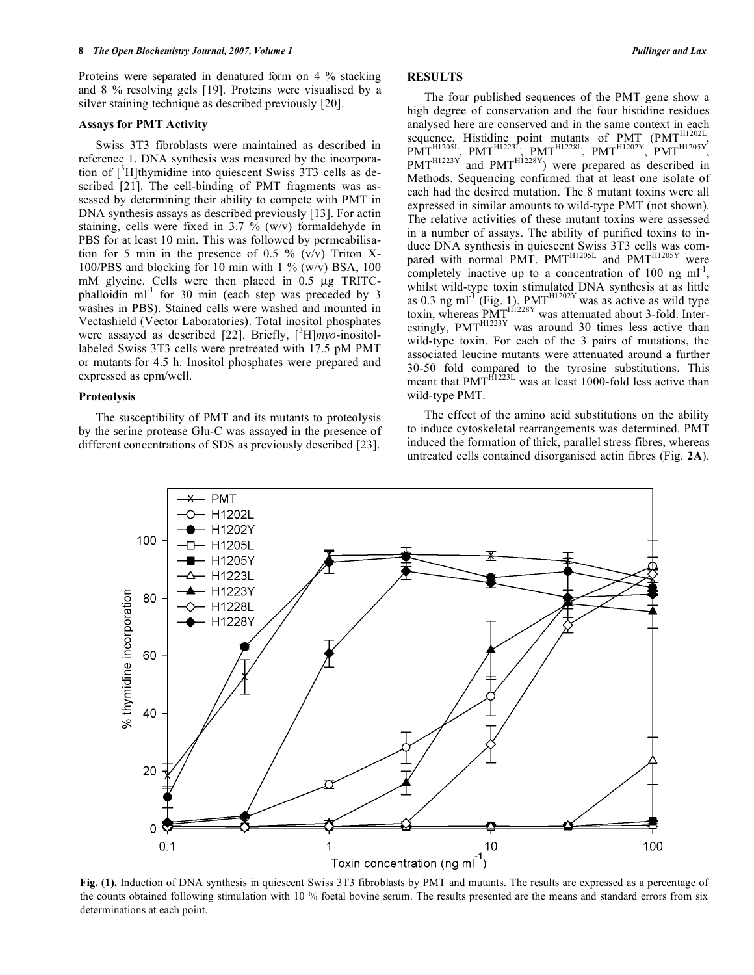Proteins were separated in denatured form on 4 % stacking and 8 % resolving gels [19]. Proteins were visualised by a silver staining technique as described previously [20].

#### **Assays for PMT Activity**

 Swiss 3T3 fibroblasts were maintained as described in reference 1. DNA synthesis was measured by the incorporation of  $[^{3}H]$ thymidine into quiescent Swiss 3T3 cells as described [21]. The cell-binding of PMT fragments was assessed by determining their ability to compete with PMT in DNA synthesis assays as described previously [13]. For actin staining, cells were fixed in  $3.7 \%$  (w/v) formaldehyde in PBS for at least 10 min. This was followed by permeabilisation for 5 min in the presence of 0.5 %  $(v/v)$  Triton X-100/PBS and blocking for 10 min with 1  $\%$  (w/v) BSA, 100 mM glycine. Cells were then placed in 0.5 μg TRITCphalloidin  $ml^{-1}$  for 30 min (each step was preceded by 3 washes in PBS). Stained cells were washed and mounted in Vectashield (Vector Laboratories). Total inositol phosphates were assayed as described [22]. Briefly, [<sup>3</sup>H]*myo*-inositollabeled Swiss 3T3 cells were pretreated with 17.5 pM PMT or mutants for 4.5 h. Inositol phosphates were prepared and expressed as cpm/well.

#### **Proteolysis**

 The susceptibility of PMT and its mutants to proteolysis by the serine protease Glu-C was assayed in the presence of different concentrations of SDS as previously described [23].

# **RESULTS**

 The four published sequences of the PMT gene show a high degree of conservation and the four histidine residues analysed here are conserved and in the same context in each sequence. Histidine point mutants of PMT (PMT<sup>H1202L</sup>, PMT<sup>H1205L</sup>, PMT<sup>H1223L</sup>, PMT<sup>H1228L</sup>, PMT<sup>H1202Y</sup>, PMT<sup>H1205Y</sup>,  $PMT^{H1223Y}$  and  $PMT^{H1228Y}$ ) were prepared as described in Methods. Sequencing confirmed that at least one isolate of each had the desired mutation. The 8 mutant toxins were all expressed in similar amounts to wild-type PMT (not shown). The relative activities of these mutant toxins were assessed in a number of assays. The ability of purified toxins to induce DNA synthesis in quiescent Swiss 3T3 cells was compared with normal PMT.  $PMT<sup>H1205L</sup>$  and  $PMT<sup>H1205Y</sup>$  were completely inactive up to a concentration of 100 ng  $ml^{-1}$ , whilst wild-type toxin stimulated DNA synthesis at as little as 0.3 ng ml<sup>-1</sup> (Fig. 1). PMT<sup>H1202Y</sup> was as active as wild type toxin, whereas  $\overline{PMT}^{\text{H1228Y}}$  was attenuated about 3-fold. Interestingly,  $PMT^{H1223Y}$  was around 30 times less active than wild-type toxin. For each of the 3 pairs of mutations, the associated leucine mutants were attenuated around a further 30-50 fold compared to the tyrosine substitutions. This meant that PMT<sup>H1223L</sup> was at least 1000-fold less active than wild-type PMT.

 The effect of the amino acid substitutions on the ability to induce cytoskeletal rearrangements was determined. PMT induced the formation of thick, parallel stress fibres, whereas untreated cells contained disorganised actin fibres (Fig. **2A**).



**Fig. (1).** Induction of DNA synthesis in quiescent Swiss 3T3 fibroblasts by PMT and mutants. The results are expressed as a percentage of the counts obtained following stimulation with 10 % foetal bovine serum. The results presented are the means and standard errors from six determinations at each point.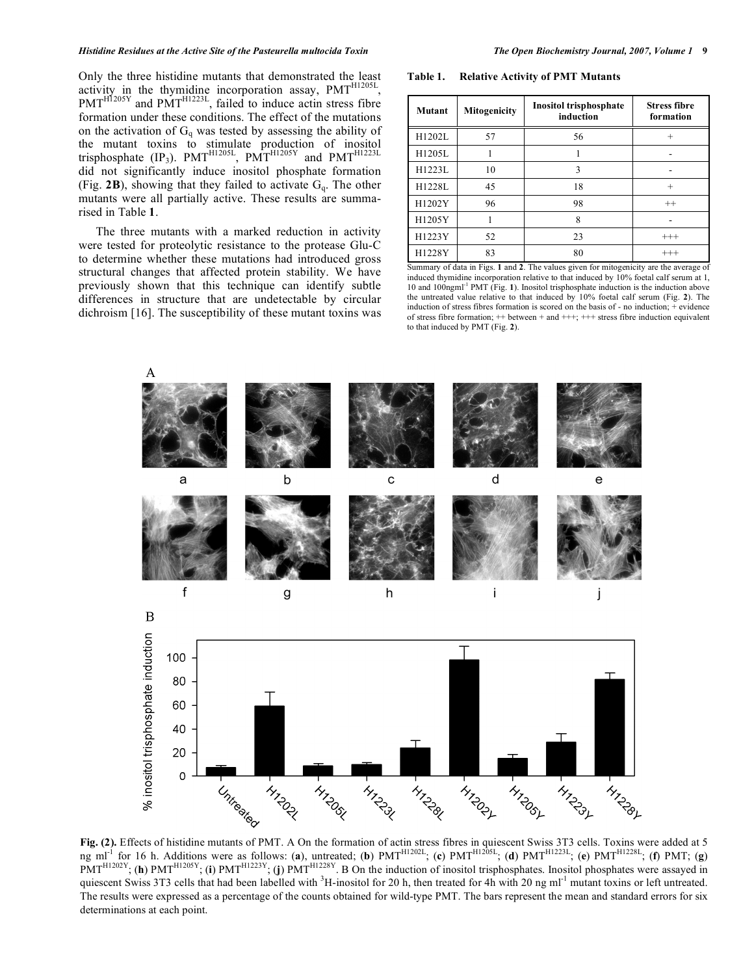Only the three histidine mutants that demonstrated the least activity in the thymidine incorporation assay,  $PMT<sup>H1205L</sup>$ ,  $PMT<sup>H1205Y</sup>$  and  $PMT<sup>H1223L</sup>$ , failed to induce actin stress fibre formation under these conditions. The effect of the mutations on the activation of  $G_q$  was tested by assessing the ability of the mutant toxins to stimulate production of inositol trisphosphate (IP<sub>3</sub>). PMT<sup>H1205L</sup>, PMT<sup>H1205Y</sup> and PMT<sup>H1223L</sup> did not significantly induce inositol phosphate formation (Fig. **2B**), showing that they failed to activate Gq. The other mutants were all partially active. These results are summarised in Table **1**.

 The three mutants with a marked reduction in activity were tested for proteolytic resistance to the protease Glu-C to determine whether these mutations had introduced gross structural changes that affected protein stability. We have previously shown that this technique can identify subtle differences in structure that are undetectable by circular dichroism [16]. The susceptibility of these mutant toxins was

**Table 1. Relative Activity of PMT Mutants** 

| Mutant | Mitogenicity | Inositol trisphosphate<br>induction | <b>Stress fibre</b><br>formation |
|--------|--------------|-------------------------------------|----------------------------------|
| H1202L | 57           | 56                                  | $^{+}$                           |
| H1205L |              |                                     |                                  |
| H1223L | 10           | 3                                   |                                  |
| H1228L | 45           | 18                                  | $^{+}$                           |
| H1202Y | 96           | 98                                  | $^{++}$                          |
| H1205Y |              | 8                                   |                                  |
| H1223Y | 52           | 23                                  | $^{+++}$                         |
| H1228Y | 83           | 80                                  | $^{+++}$                         |

Summary of data in Figs. **1** and **2**. The values given for mitogenicity are the average of induced thymidine incorporation relative to that induced by 10% foetal calf serum at 1, 10 and 100ngml-1 PMT (Fig. **1**). Inositol trisphosphate induction is the induction above the untreated value relative to that induced by 10% foetal calf serum (Fig. **2**). The induction of stress fibres formation is scored on the basis of - no induction; + evidence of stress fibre formation; ++ between + and +++; +++ stress fibre induction equivalent to that induced by PMT (Fig. **2**).



**Fig. (2).** Effects of histidine mutants of PMT. A On the formation of actin stress fibres in quiescent Swiss 3T3 cells. Toxins were added at 5 ng ml-1 for 16 h. Additions were as follows: (**a**), untreated; (**b**) PMTH1202L; (**c**) PMTH1205L; (**d**) PMTH1223L; (**e**) PMTH1228L; (**f**) PMT; (**g**)  $PMT^{H1202Y}$ ; (**h**)  $PMT^{H1205Y}$ ; (**i**)  $PMT^{H1223Y}$ . (**j**)  $PMT^{H1228Y}$ . B On the induction of inositol trisphosphates. Inositol phosphates were assayed in quiescent Swiss 3T3 cells that had been labelled with  ${}^{3}$ H-inositol for 20 h, then treated for 4h with 20 ng ml<sup>-1</sup> mutant toxins or left untreated. The results were expressed as a percentage of the counts obtained for wild-type PMT. The bars represent the mean and standard errors for six determinations at each point.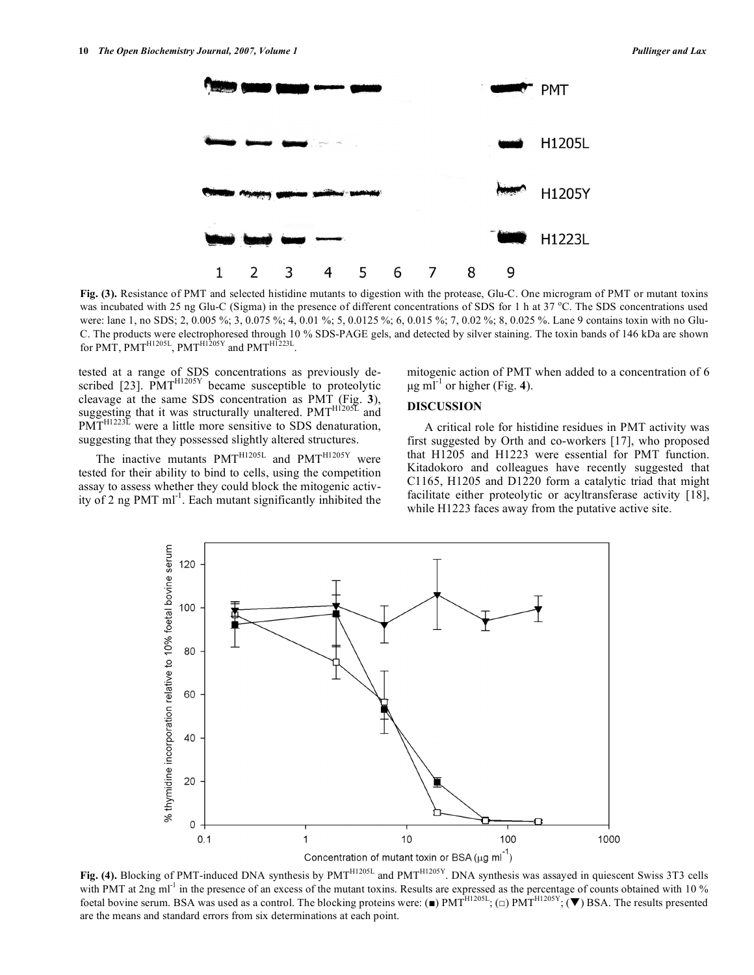

**Fig. (3).** Resistance of PMT and selected histidine mutants to digestion with the protease, Glu-C. One microgram of PMT or mutant toxins was incubated with 25 ng Glu-C (Sigma) in the presence of different concentrations of SDS for 1 h at 37 °C. The SDS concentrations used were: lane 1, no SDS; 2, 0.005 %; 3, 0.075 %; 4, 0.01 %; 5, 0.0125 %; 6, 0.015 %; 7, 0.02 %; 8, 0.025 %. Lane 9 contains toxin with no Glu-C. The products were electrophoresed through 10 % SDS-PAGE gels, and detected by silver staining. The toxin bands of 146 kDa are shown for PMT, PMT<sup>H1205L</sup>, PMT<sup>H1205Y</sup> and PMT<sup>H1223L</sup>

tested at a range of SDS concentrations as previously described  $[23]$ . PMT<sup>H1205Y</sup> became susceptible to proteolytic cleavage at the same SDS concentration as PMT (Fig. **3**), suggesting that it was structurally unaltered.  $PMT<sup>H1205L</sup>$  and  $P\widetilde{MT}^{H1223\widetilde{L}}$  were a little more sensitive to SDS denaturation, suggesting that they possessed slightly altered structures.

The inactive mutants  $PMT^{H1205L}$  and  $PMT^{H1205Y}$  were tested for their ability to bind to cells, using the competition assay to assess whether they could block the mitogenic activity of 2 ng PMT ml<sup>-1</sup>. Each mutant significantly inhibited the

mitogenic action of PMT when added to a concentration of 6 μg ml<sup>-1</sup> or higher (Fig. 4).

# **DISCUSSION**

 A critical role for histidine residues in PMT activity was first suggested by Orth and co-workers [17], who proposed that H1205 and H1223 were essential for PMT function. Kitadokoro and colleagues have recently suggested that C1165, H1205 and D1220 form a catalytic triad that might facilitate either proteolytic or acyltransferase activity [18], while H1223 faces away from the putative active site.



Fig. (4). Blocking of PMT-induced DNA synthesis by PMT<sup>H1205L</sup> and PMT<sup>H1205Y</sup>. DNA synthesis was assayed in quiescent Swiss 3T3 cells with PMT at 2ng ml<sup>-1</sup> in the presence of an excess of the mutant toxins. Results are expressed as the percentage of counts obtained with 10 % foetal bovine serum. BSA was used as a control. The blocking proteins were: ( $\blacksquare$ ) PMT<sup>H1205L</sup>; ( $\square$ ) PMT<sup>H1205V</sup>; ( $\nabla$ ) BSA. The results presented are the means and standard errors from six determinations at each point.